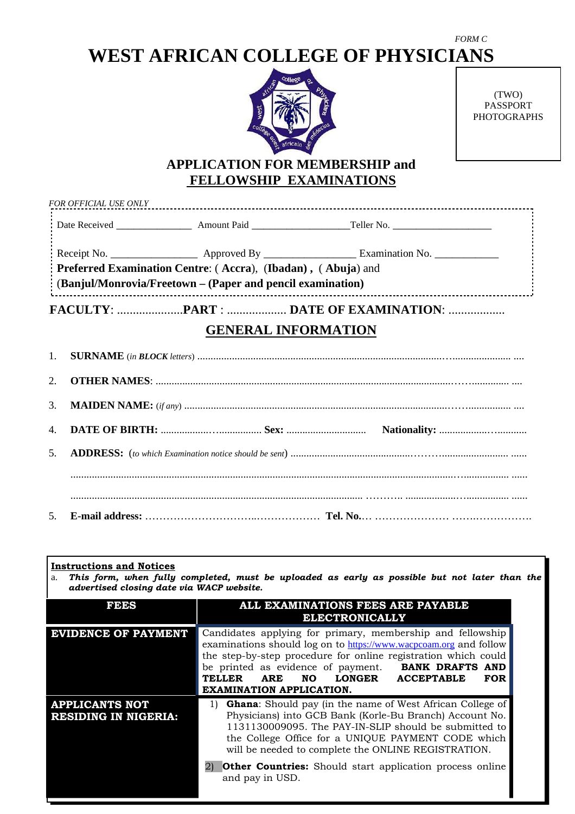# **WEST AFRICAN COLLEGE OF PHYSICIANS**



(TWO) PASSPORT PHOTOGRAPHS

*FORM C* 

## **APPLICATION FOR MEMBERSHIP and FELLOWSHIP EXAMINATIONS**

| $\therefore$ (Banjul/Monrovia/Freetown – (Paper and pencil examination) |  |
|-------------------------------------------------------------------------|--|
| Preferred Examination Centre: (Accra), (Ibadan), (Abuja) and            |  |
|                                                                         |  |
|                                                                         |  |

## **GENERAL INFORMATION**

### **Instructions and Notices**

a. *This form, when fully completed, must be uploaded as early as possible but not later than the advertised closing date via WACP website.*

| FEES                                                 | ALL EXAMINATIONS FEES ARE PAYABLE<br><b>ELECTRONICALLY</b>                                                                                                                                                                                                                                                                                                                                                    |  |  |  |  |
|------------------------------------------------------|---------------------------------------------------------------------------------------------------------------------------------------------------------------------------------------------------------------------------------------------------------------------------------------------------------------------------------------------------------------------------------------------------------------|--|--|--|--|
| <b>EVIDENCE OF PAYMENT</b>                           | Candidates applying for primary, membership and fellowship<br>examinations should log on to https://www.wacpcoam.org and follow<br>the step-by-step procedure for online registration which could<br>be printed as evidence of payment. <b>BANK DRAFTS AND</b><br>LONGER ACCEPTABLE<br><b>TELLER</b><br>ARE<br>NO.<br><b>FOR</b><br><b>EXAMINATION APPLICATION.</b>                                           |  |  |  |  |
| <b>APPLICANTS NOT</b><br><b>RESIDING IN NIGERIA:</b> | <b>Ghana:</b> Should pay (in the name of West African College of<br>1)<br>Physicians) into GCB Bank (Korle-Bu Branch) Account No.<br>1131130009095. The PAY-IN-SLIP should be submitted to<br>the College Office for a UNIQUE PAYMENT CODE which<br>will be needed to complete the ONLINE REGISTRATION.<br><b>Other Countries:</b> Should start application process online<br>$\mathbf{2}$<br>and pay in USD. |  |  |  |  |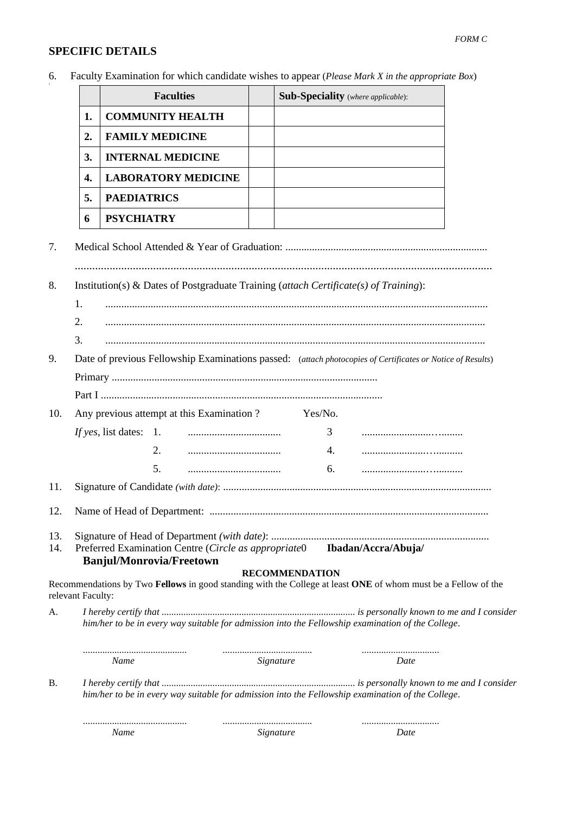#### *FORM C*

### **SPECIFIC DETAILS**

6. Faculty Examination for which candidate wishes to appear (*Please Mark X in the appropriate Box*)

|    | <b>Faculties</b>           | <b>Sub-Speciality</b> (where applicable): |
|----|----------------------------|-------------------------------------------|
|    | <b>COMMUNITY HEALTH</b>    |                                           |
| 2. | <b>FAMILY MEDICINE</b>     |                                           |
| 3. | <b>INTERNAL MEDICINE</b>   |                                           |
| 4. | <b>LABORATORY MEDICINE</b> |                                           |
| 5. | <b>PAEDIATRICS</b>         |                                           |
| 6  | <b>PSYCHIATRY</b>          |                                           |

7. Medical School Attended & Year of Graduation: ............................................................................ ................................................................................................................................................

- 8. Institution(s) & Dates of Postgraduate Training (*attach Certificate(s) of Training*):
	- 1. ................................................................................................................................................
	- 2. ...............................................................................................................................................
	- 3. ...............................................................................................................................................
- 9. Date of previous Fellowship Examinations passed: (*attach photocopies of Certificates or Notice of Results*) Primary ....................................................................................................

10. Any previous attempt at this Examination ? Yes/No. *If yes*, list dates: 1. ................................... 3 ..........................…........ 2. ................................... 4. ........................…..........

5. ................................... 6. ........................…..........

11. Signature of Candidate *(with date)*: .....................................................................................................

- 12. Name of Head of Department: ......................................................................................................... 13. Signature of Head of Department *(with date)*: ..................................................................................
- 14. Preferred Examination Centre (*Circle as appropriate*0 **Ibadan/Accra/Abuja/**

**Banjul/Monrovia/Freetown**

#### **RECOMMENDATION**

Recommendations by Two **Fellows** in good standing with the College at least **ONE** of whom must be a Fellow of the relevant Faculty:

A. *I hereby certify that ................................................................................ is personally known to me and I consider him/her to be in every way suitable for admission into the Fellowship examination of the College*.

|            | Name | Signature                                                                                         | Date. |  |
|------------|------|---------------------------------------------------------------------------------------------------|-------|--|
| <b>B</b> . |      | him/her to be in every way suitable for admission into the Fellowship examination of the College. |       |  |
|            |      |                                                                                                   |       |  |

*Name Signature Date*